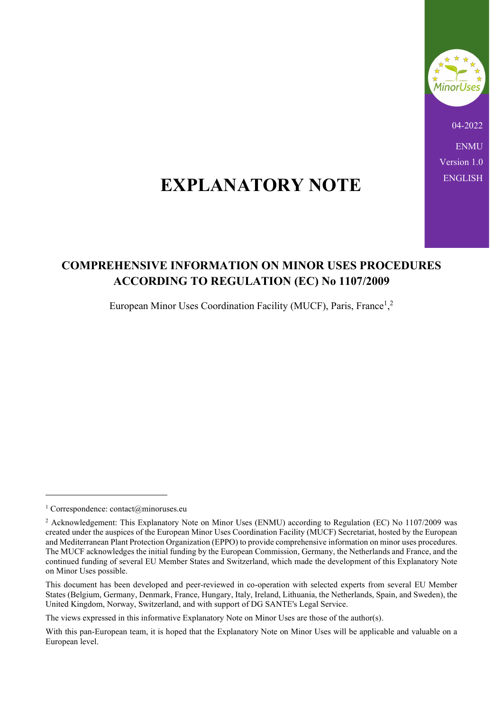

04-2022 **ENMU** Version 1.0

# EXPLANATORY NOTE ENGLISH

# COMPREHENSIVE INFORMATION ON MINOR USES PROCEDURES ACCORDING TO REGULATION (EC) No 1107/2009

European Minor Uses Coordination Facility (MUCF), Paris, France<sup>1</sup>,<sup>2</sup>

The views expressed in this informative Explanatory Note on Minor Uses are those of the author(s).

<sup>1</sup> Correspondence: contact@minoruses.eu

<sup>&</sup>lt;sup>2</sup> Acknowledgement: This Explanatory Note on Minor Uses (ENMU) according to Regulation (EC) No 1107/2009 was created under the auspices of the European Minor Uses Coordination Facility (MUCF) Secretariat, hosted by the European and Mediterranean Plant Protection Organization (EPPO) to provide comprehensive information on minor uses procedures. The MUCF acknowledges the initial funding by the European Commission, Germany, the Netherlands and France, and the continued funding of several EU Member States and Switzerland, which made the development of this Explanatory Note on Minor Uses possible.

This document has been developed and peer-reviewed in co-operation with selected experts from several EU Member States (Belgium, Germany, Denmark, France, Hungary, Italy, Ireland, Lithuania, the Netherlands, Spain, and Sweden), the United Kingdom, Norway, Switzerland, and with support of DG SANTE's Legal Service.

With this pan-European team, it is hoped that the Explanatory Note on Minor Uses will be applicable and valuable on a European level.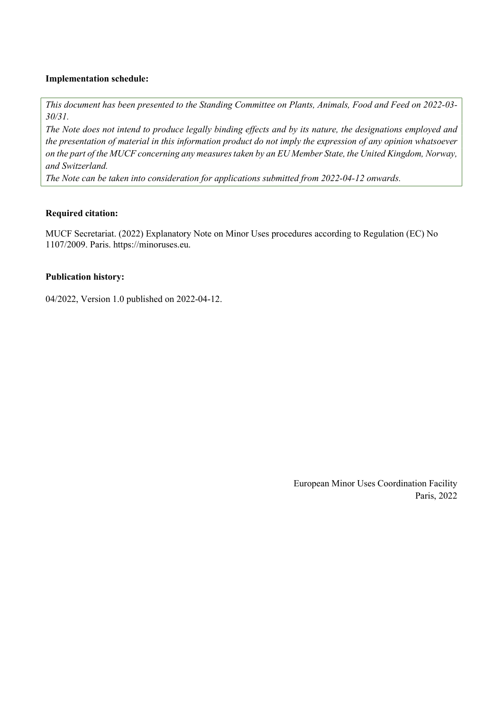#### Implementation schedule:

This document has been presented to the Standing Committee on Plants, Animals, Food and Feed on 2022-03- 30/31.

The Note does not intend to produce legally binding effects and by its nature, the designations employed and the presentation of material in this information product do not imply the expression of any opinion whatsoever on the part of the MUCF concerning any measures taken by an EU Member State, the United Kingdom, Norway, and Switzerland.

The Note can be taken into consideration for applications submitted from 2022-04-12 onwards.

#### Required citation:

MUCF Secretariat. (2022) Explanatory Note on Minor Uses procedures according to Regulation (EC) No 1107/2009. Paris. https://minoruses.eu.

#### Publication history:

04/2022, Version 1.0 published on 2022-04-12.

European Minor Uses Coordination Facility Paris, 2022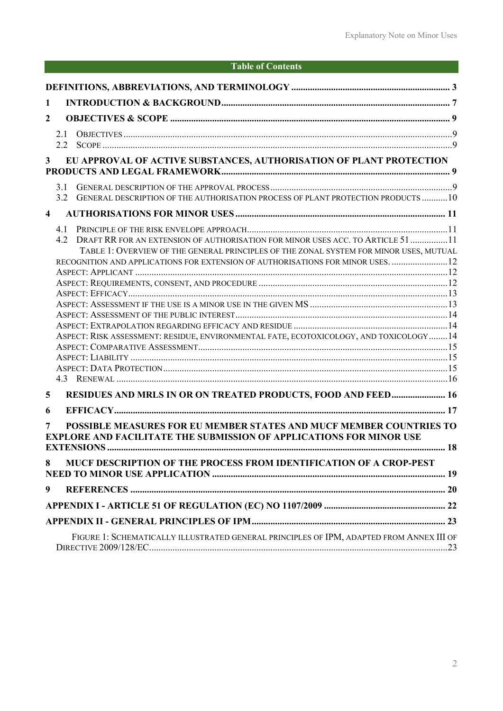# Table of Contents

| 1                                                                                     |                                                                          |                                                                                          |  |  |  |
|---------------------------------------------------------------------------------------|--------------------------------------------------------------------------|------------------------------------------------------------------------------------------|--|--|--|
| $\boldsymbol{2}$                                                                      |                                                                          |                                                                                          |  |  |  |
|                                                                                       |                                                                          |                                                                                          |  |  |  |
|                                                                                       | 2.1<br>$2.2^{\circ}$                                                     |                                                                                          |  |  |  |
|                                                                                       |                                                                          |                                                                                          |  |  |  |
|                                                                                       | EU APPROVAL OF ACTIVE SUBSTANCES, AUTHORISATION OF PLANT PROTECTION<br>3 |                                                                                          |  |  |  |
|                                                                                       |                                                                          |                                                                                          |  |  |  |
|                                                                                       | 3.1<br>3.2                                                               | GENERAL DESCRIPTION OF THE AUTHORISATION PROCESS OF PLANT PROTECTION PRODUCTS 10         |  |  |  |
|                                                                                       |                                                                          |                                                                                          |  |  |  |
| $\overline{\mathbf{4}}$                                                               |                                                                          |                                                                                          |  |  |  |
|                                                                                       | 4.1                                                                      |                                                                                          |  |  |  |
|                                                                                       | 4.2                                                                      | DRAFT RR FOR AN EXTENSION OF AUTHORISATION FOR MINOR USES ACC. TO ARTICLE 51 11          |  |  |  |
|                                                                                       |                                                                          | TABLE 1: OVERVIEW OF THE GENERAL PRINCIPLES OF THE ZONAL SYSTEM FOR MINOR USES, MUTUAL   |  |  |  |
|                                                                                       |                                                                          | RECOGNITION AND APPLICATIONS FOR EXTENSION OF AUTHORISATIONS FOR MINOR USES.  12         |  |  |  |
|                                                                                       |                                                                          |                                                                                          |  |  |  |
|                                                                                       |                                                                          |                                                                                          |  |  |  |
| ASPECT: RISK ASSESSMENT: RESIDUE, ENVIRONMENTAL FATE, ECOTOXICOLOGY, AND TOXICOLOGY14 |                                                                          |                                                                                          |  |  |  |
|                                                                                       |                                                                          |                                                                                          |  |  |  |
|                                                                                       |                                                                          |                                                                                          |  |  |  |
|                                                                                       |                                                                          |                                                                                          |  |  |  |
|                                                                                       |                                                                          |                                                                                          |  |  |  |
|                                                                                       |                                                                          |                                                                                          |  |  |  |
|                                                                                       |                                                                          |                                                                                          |  |  |  |
|                                                                                       |                                                                          |                                                                                          |  |  |  |
| 5                                                                                     |                                                                          | RESIDUES AND MRLS IN OR ON TREATED PRODUCTS, FOOD AND FEED 16                            |  |  |  |
| 6                                                                                     |                                                                          |                                                                                          |  |  |  |
| 7                                                                                     |                                                                          | POSSIBLE MEASURES FOR EU MEMBER STATES AND MUCF MEMBER COUNTRIES TO                      |  |  |  |
|                                                                                       |                                                                          | <b>EXPLORE AND FACILITATE THE SUBMISSION OF APPLICATIONS FOR MINOR USE</b>               |  |  |  |
|                                                                                       |                                                                          |                                                                                          |  |  |  |
|                                                                                       |                                                                          |                                                                                          |  |  |  |
| 8                                                                                     |                                                                          | MUCF DESCRIPTION OF THE PROCESS FROM IDENTIFICATION OF A CROP-PEST                       |  |  |  |
| 9                                                                                     |                                                                          |                                                                                          |  |  |  |
|                                                                                       |                                                                          |                                                                                          |  |  |  |
|                                                                                       |                                                                          |                                                                                          |  |  |  |
|                                                                                       |                                                                          |                                                                                          |  |  |  |
|                                                                                       |                                                                          | FIGURE 1: SCHEMATICALLY ILLUSTRATED GENERAL PRINCIPLES OF IPM, ADAPTED FROM ANNEX III OF |  |  |  |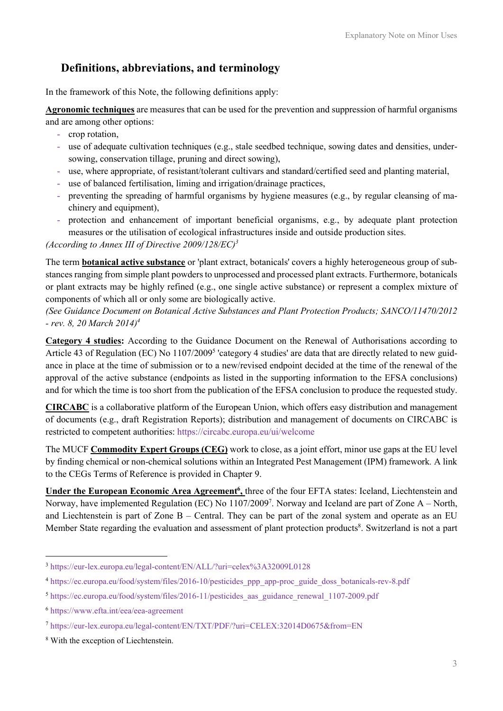# Definitions, abbreviations, and terminology

In the framework of this Note, the following definitions apply:

Agronomic techniques are measures that can be used for the prevention and suppression of harmful organisms and are among other options:

- crop rotation,
- use of adequate cultivation techniques (e.g., stale seedbed technique, sowing dates and densities, undersowing, conservation tillage, pruning and direct sowing),
- use, where appropriate, of resistant/tolerant cultivars and standard/certified seed and planting material,
- use of balanced fertilisation, liming and irrigation/drainage practices,
- preventing the spreading of harmful organisms by hygiene measures (e.g., by regular cleansing of machinery and equipment),
- protection and enhancement of important beneficial organisms, e.g., by adequate plant protection measures or the utilisation of ecological infrastructures inside and outside production sites.

#### (According to Annex III of Directive  $2009/128/EC$ )<sup>3</sup>

The term botanical active substance or 'plant extract, botanicals' covers a highly heterogeneous group of substances ranging from simple plant powders to unprocessed and processed plant extracts. Furthermore, botanicals or plant extracts may be highly refined (e.g., one single active substance) or represent a complex mixture of components of which all or only some are biologically active.

(See Guidance Document on Botanical Active Substances and Plant Protection Products; SANCO/11470/2012  $-$  rev. 8, 20 March 2014)<sup>4</sup>

Category 4 studies: According to the Guidance Document on the Renewal of Authorisations according to Article 43 of Regulation (EC) No 1107/2009<sup>5</sup> 'category 4 studies' are data that are directly related to new guidance in place at the time of submission or to a new/revised endpoint decided at the time of the renewal of the approval of the active substance (endpoints as listed in the supporting information to the EFSA conclusions) and for which the time is too short from the publication of the EFSA conclusion to produce the requested study.

CIRCABC is a collaborative platform of the European Union, which offers easy distribution and management of documents (e.g., draft Registration Reports); distribution and management of documents on CIRCABC is restricted to competent authorities: https://circabc.europa.eu/ui/welcome

The MUCF Commodity Expert Groups (CEG) work to close, as a joint effort, minor use gaps at the EU level by finding chemical or non-chemical solutions within an Integrated Pest Management (IPM) framework. A link to the CEGs Terms of Reference is provided in Chapter 9.

Under the European Economic Area Agreement<sup>6</sup>, three of the four EFTA states: Iceland, Liechtenstein and Norway, have implemented Regulation (EC) No 1107/2009<sup>7</sup>. Norway and Iceland are part of Zone A – North, and Liechtenstein is part of Zone B – Central. They can be part of the zonal system and operate as an EU Member State regarding the evaluation and assessment of plant protection products<sup>8</sup>. Switzerland is not a part

<sup>3</sup> https://eur-lex.europa.eu/legal-content/EN/ALL/?uri=celex%3A32009L0128

<sup>4</sup> https://ec.europa.eu/food/system/files/2016-10/pesticides\_ppp\_app-proc\_guide\_doss\_botanicals-rev-8.pdf

<sup>&</sup>lt;sup>5</sup> https://ec.europa.eu/food/system/files/2016-11/pesticides\_aas\_guidance\_renewal\_1107-2009.pdf

<sup>6</sup> https://www.efta.int/eea/eea-agreement

<sup>7</sup> https://eur-lex.europa.eu/legal-content/EN/TXT/PDF/?uri=CELEX:32014D0675&from=EN

<sup>8</sup> With the exception of Liechtenstein.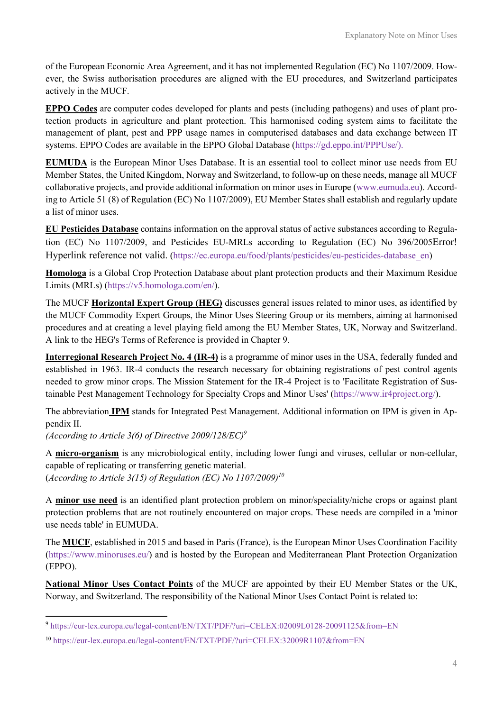of the European Economic Area Agreement, and it has not implemented Regulation (EC) No 1107/2009. However, the Swiss authorisation procedures are aligned with the EU procedures, and Switzerland participates actively in the MUCF.

EPPO Codes are computer codes developed for plants and pests (including pathogens) and uses of plant protection products in agriculture and plant protection. This harmonised coding system aims to facilitate the management of plant, pest and PPP usage names in computerised databases and data exchange between IT systems. EPPO Codes are available in the EPPO Global Database (https://gd.eppo.int/PPPUse/).

EUMUDA is the European Minor Uses Database. It is an essential tool to collect minor use needs from EU Member States, the United Kingdom, Norway and Switzerland, to follow-up on these needs, manage all MUCF collaborative projects, and provide additional information on minor uses in Europe (www.eumuda.eu). According to Article 51 (8) of Regulation (EC) No 1107/2009), EU Member States shall establish and regularly update a list of minor uses.

EU Pesticides Database contains information on the approval status of active substances according to Regulation (EC) No 1107/2009, and Pesticides EU-MRLs according to Regulation (EC) No 396/2005Error! Hyperlink reference not valid. (https://ec.europa.eu/food/plants/pesticides/eu-pesticides-database\_en)

Homologa is a Global Crop Protection Database about plant protection products and their Maximum Residue Limits (MRLs) (https://v5.homologa.com/en/).

The MUCF Horizontal Expert Group (HEG) discusses general issues related to minor uses, as identified by the MUCF Commodity Expert Groups, the Minor Uses Steering Group or its members, aiming at harmonised procedures and at creating a level playing field among the EU Member States, UK, Norway and Switzerland. A link to the HEG's Terms of Reference is provided in Chapter 9.

Interregional Research Project No. 4 (IR-4) is a programme of minor uses in the USA, federally funded and established in 1963. IR-4 conducts the research necessary for obtaining registrations of pest control agents needed to grow minor crops. The Mission Statement for the IR-4 Project is to 'Facilitate Registration of Sustainable Pest Management Technology for Specialty Crops and Minor Uses' (https://www.ir4project.org/).

The abbreviation IPM stands for Integrated Pest Management. Additional information on IPM is given in Appendix II.

(According to Article 3(6) of Directive 2009/128/EC)<sup>9</sup>

A micro-organism is any microbiological entity, including lower fungi and viruses, cellular or non-cellular, capable of replicating or transferring genetic material. (According to Article 3(15) of Regulation (EC) No  $1107/2009$ <sup>10</sup>

A minor use need is an identified plant protection problem on minor/speciality/niche crops or against plant protection problems that are not routinely encountered on major crops. These needs are compiled in a 'minor use needs table' in EUMUDA.

The MUCF, established in 2015 and based in Paris (France), is the European Minor Uses Coordination Facility (https://www.minoruses.eu/) and is hosted by the European and Mediterranean Plant Protection Organization (EPPO).

National Minor Uses Contact Points of the MUCF are appointed by their EU Member States or the UK, Norway, and Switzerland. The responsibility of the National Minor Uses Contact Point is related to:

<sup>9</sup> https://eur-lex.europa.eu/legal-content/EN/TXT/PDF/?uri=CELEX:02009L0128-20091125&from=EN

<sup>10</sup> https://eur-lex.europa.eu/legal-content/EN/TXT/PDF/?uri=CELEX:32009R1107&from=EN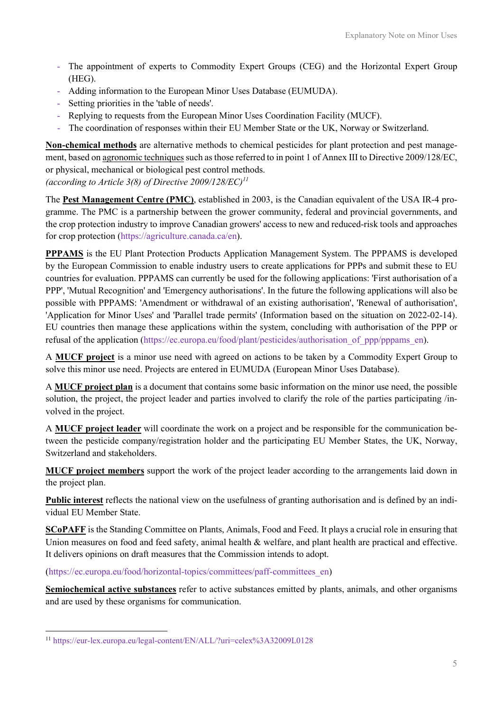- The appointment of experts to Commodity Expert Groups (CEG) and the Horizontal Expert Group (HEG).
- Adding information to the European Minor Uses Database (EUMUDA).
- Setting priorities in the 'table of needs'.
- Replying to requests from the European Minor Uses Coordination Facility (MUCF).
- The coordination of responses within their EU Member State or the UK, Norway or Switzerland.

Non-chemical methods are alternative methods to chemical pesticides for plant protection and pest management, based on agronomic techniques such as those referred to in point 1 of Annex III to Directive 2009/128/EC, or physical, mechanical or biological pest control methods.

(according to Article 3(8) of Directive  $2009/128/EC$ <sup> $11$ </sup>

The Pest Management Centre (PMC), established in 2003, is the Canadian equivalent of the USA IR-4 programme. The PMC is a partnership between the grower community, federal and provincial governments, and the crop protection industry to improve Canadian growers' access to new and reduced-risk tools and approaches for crop protection (https://agriculture.canada.ca/en).

PPPAMS is the EU Plant Protection Products Application Management System. The PPPAMS is developed by the European Commission to enable industry users to create applications for PPPs and submit these to EU countries for evaluation. PPPAMS can currently be used for the following applications: 'First authorisation of a PPP', 'Mutual Recognition' and 'Emergency authorisations'. In the future the following applications will also be possible with PPPAMS: 'Amendment or withdrawal of an existing authorisation', 'Renewal of authorisation', 'Application for Minor Uses' and 'Parallel trade permits' (Information based on the situation on 2022-02-14). EU countries then manage these applications within the system, concluding with authorisation of the PPP or refusal of the application (https://ec.europa.eu/food/plant/pesticides/authorisation of ppp/pppams en).

A MUCF project is a minor use need with agreed on actions to be taken by a Commodity Expert Group to solve this minor use need. Projects are entered in EUMUDA (European Minor Uses Database).

A MUCF project plan is a document that contains some basic information on the minor use need, the possible solution, the project, the project leader and parties involved to clarify the role of the parties participating /involved in the project.

A MUCF project leader will coordinate the work on a project and be responsible for the communication between the pesticide company/registration holder and the participating EU Member States, the UK, Norway, Switzerland and stakeholders.

MUCF project members support the work of the project leader according to the arrangements laid down in the project plan.

Public interest reflects the national view on the usefulness of granting authorisation and is defined by an individual EU Member State.

SCoPAFF is the Standing Committee on Plants, Animals, Food and Feed. It plays a crucial role in ensuring that Union measures on food and feed safety, animal health & welfare, and plant health are practical and effective. It delivers opinions on draft measures that the Commission intends to adopt.

(https://ec.europa.eu/food/horizontal-topics/committees/paff-committees\_en)

Semiochemical active substances refer to active substances emitted by plants, animals, and other organisms and are used by these organisms for communication.

<sup>11</sup> https://eur-lex.europa.eu/legal-content/EN/ALL/?uri=celex%3A32009L0128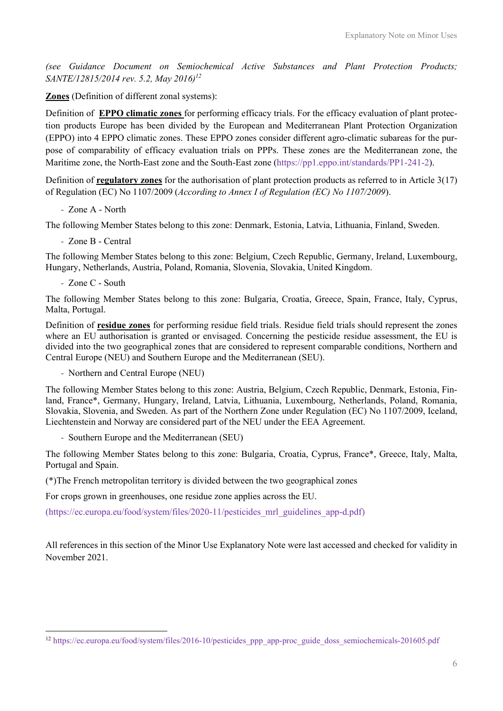(see Guidance Document on Semiochemical Active Substances and Plant Protection Products; SANTE/12815/2014 rev. 5.2, May 2016)<sup>12</sup>

Zones (Definition of different zonal systems):

Definition of EPPO climatic zones for performing efficacy trials. For the efficacy evaluation of plant protection products Europe has been divided by the European and Mediterranean Plant Protection Organization (EPPO) into 4 EPPO climatic zones. These EPPO zones consider different agro-climatic subareas for the purpose of comparability of efficacy evaluation trials on PPPs. These zones are the Mediterranean zone, the Maritime zone, the North-East zone and the South-East zone (https://pp1.eppo.int/standards/PP1-241-2).

Definition of **regulatory zones** for the authorisation of plant protection products as referred to in Article 3(17) of Regulation (EC) No 1107/2009 (According to Annex I of Regulation (EC) No 1107/2009).

- Zone A - North

The following Member States belong to this zone: Denmark, Estonia, Latvia, Lithuania, Finland, Sweden.

- Zone B - Central

The following Member States belong to this zone: Belgium, Czech Republic, Germany, Ireland, Luxembourg, Hungary, Netherlands, Austria, Poland, Romania, Slovenia, Slovakia, United Kingdom.

- Zone C - South

The following Member States belong to this zone: Bulgaria, Croatia, Greece, Spain, France, Italy, Cyprus, Malta, Portugal.

Definition of residue zones for performing residue field trials. Residue field trials should represent the zones where an EU authorisation is granted or envisaged. Concerning the pesticide residue assessment, the EU is divided into the two geographical zones that are considered to represent comparable conditions, Northern and Central Europe (NEU) and Southern Europe and the Mediterranean (SEU).

- Northern and Central Europe (NEU)

The following Member States belong to this zone: Austria, Belgium, Czech Republic, Denmark, Estonia, Finland, France\*, Germany, Hungary, Ireland, Latvia, Lithuania, Luxembourg, Netherlands, Poland, Romania, Slovakia, Slovenia, and Sweden. As part of the Northern Zone under Regulation (EC) No 1107/2009, Iceland, Liechtenstein and Norway are considered part of the NEU under the EEA Agreement.

- Southern Europe and the Mediterranean (SEU)

The following Member States belong to this zone: Bulgaria, Croatia, Cyprus, France\*, Greece, Italy, Malta, Portugal and Spain.

(\*)The French metropolitan territory is divided between the two geographical zones

For crops grown in greenhouses, one residue zone applies across the EU.

(https://ec.europa.eu/food/system/files/2020-11/pesticides\_mrl\_guidelines\_app-d.pdf)

All references in this section of the Minor Use Explanatory Note were last accessed and checked for validity in November 2021.

<sup>12</sup> https://ec.europa.eu/food/system/files/2016-10/pesticides\_ppp\_app-proc\_guide\_doss\_semiochemicals-201605.pdf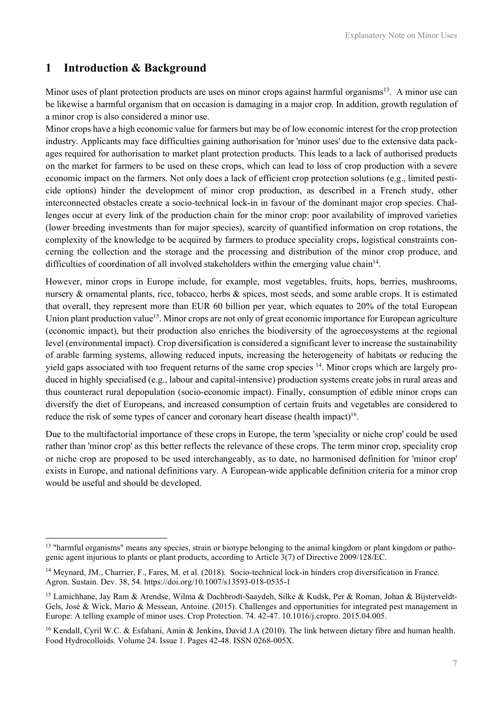### 1 Introduction & Background

Minor uses of plant protection products are uses on minor crops against harmful organisms<sup>13</sup>. A minor use can be likewise a harmful organism that on occasion is damaging in a major crop. In addition, growth regulation of a minor crop is also considered a minor use.

Minor crops have a high economic value for farmers but may be of low economic interest for the crop protection industry. Applicants may face difficulties gaining authorisation for 'minor uses' due to the extensive data packages required for authorisation to market plant protection products. This leads to a lack of authorised products on the market for farmers to be used on these crops, which can lead to loss of crop production with a severe economic impact on the farmers. Not only does a lack of efficient crop protection solutions (e.g., limited pesticide options) hinder the development of minor crop production, as described in a French study, other interconnected obstacles create a socio-technical lock-in in favour of the dominant major crop species. Challenges occur at every link of the production chain for the minor crop: poor availability of improved varieties (lower breeding investments than for major species), scarcity of quantified information on crop rotations, the complexity of the knowledge to be acquired by farmers to produce speciality crops, logistical constraints concerning the collection and the storage and the processing and distribution of the minor crop produce, and difficulties of coordination of all involved stakeholders within the emerging value chain<sup>14</sup>.

However, minor crops in Europe include, for example, most vegetables, fruits, hops, berries, mushrooms, nursery & ornamental plants, rice, tobacco, herbs & spices, most seeds, and some arable crops. It is estimated that overall, they represent more than EUR 60 billion per year, which equates to 20% of the total European Union plant production value<sup>15</sup>. Minor crops are not only of great economic importance for European agriculture (economic impact), but their production also enriches the biodiversity of the agroecosystems at the regional level (environmental impact). Crop diversification is considered a significant lever to increase the sustainability of arable farming systems, allowing reduced inputs, increasing the heterogeneity of habitats or reducing the yield gaps associated with too frequent returns of the same crop species 14. Minor crops which are largely produced in highly specialised (e.g., labour and capital-intensive) production systems create jobs in rural areas and thus counteract rural depopulation (socio-economic impact). Finally, consumption of edible minor crops can diversify the diet of Europeans, and increased consumption of certain fruits and vegetables are considered to reduce the risk of some types of cancer and coronary heart disease (health impact)<sup>16</sup>.

Due to the multifactorial importance of these crops in Europe, the term 'speciality or niche crop' could be used rather than 'minor crop' as this better reflects the relevance of these crops. The term minor crop, speciality crop or niche crop are proposed to be used interchangeably, as to date, no harmonised definition for 'minor crop' exists in Europe, and national definitions vary. A European-wide applicable definition criteria for a minor crop would be useful and should be developed.

 $13$  "harmful organisms" means any species, strain or biotype belonging to the animal kingdom or plant kingdom or pathogenic agent injurious to plants or plant products, according to Article 3(7) of Directive 2009/128/EC.

<sup>14</sup> Meynard, JM., Charrier, F., Fares, M. et al. (2018). Socio-technical lock-in hinders crop diversification in France. Agron. Sustain. Dev. 38, 54. https://doi.org/10.1007/s13593-018-0535-1

<sup>15</sup> Lamichhane, Jay Ram & Arendse, Wilma & Dachbrodt-Saaydeh, Silke & Kudsk, Per & Roman, Johan & Bijsterveldt-Gels, José & Wick, Mario & Messean, Antoine. (2015). Challenges and opportunities for integrated pest management in Europe: A telling example of minor uses. Crop Protection. 74. 42-47. 10.1016/j.cropro. 2015.04.005.

<sup>&</sup>lt;sup>16</sup> Kendall, Cyril W.C. & Esfahani, Amin & Jenkins, David J.A (2010). The link between dietary fibre and human health. Food Hydrocolloids. Volume 24. Issue 1. Pages 42-48. ISSN 0268-005X.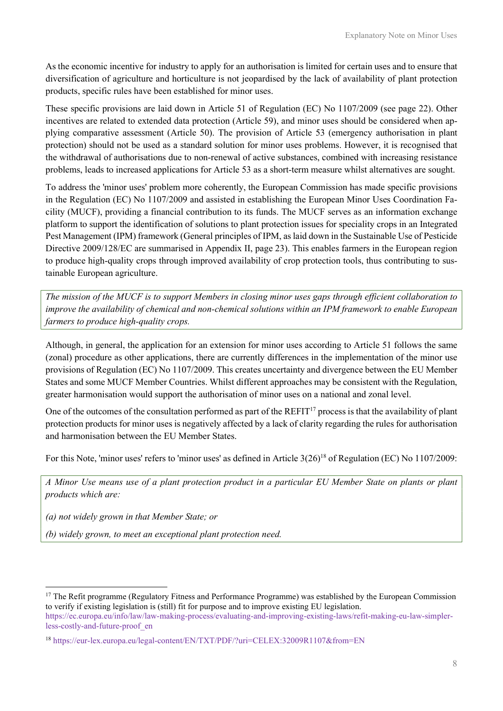As the economic incentive for industry to apply for an authorisation is limited for certain uses and to ensure that diversification of agriculture and horticulture is not jeopardised by the lack of availability of plant protection products, specific rules have been established for minor uses.

These specific provisions are laid down in Article 51 of Regulation (EC) No 1107/2009 (see page 22). Other incentives are related to extended data protection (Article 59), and minor uses should be considered when applying comparative assessment (Article 50). The provision of Article 53 (emergency authorisation in plant protection) should not be used as a standard solution for minor uses problems. However, it is recognised that the withdrawal of authorisations due to non-renewal of active substances, combined with increasing resistance problems, leads to increased applications for Article 53 as a short-term measure whilst alternatives are sought.

To address the 'minor uses' problem more coherently, the European Commission has made specific provisions in the Regulation (EC) No 1107/2009 and assisted in establishing the European Minor Uses Coordination Facility (MUCF), providing a financial contribution to its funds. The MUCF serves as an information exchange platform to support the identification of solutions to plant protection issues for speciality crops in an Integrated Pest Management (IPM) framework (General principles of IPM, as laid down in the Sustainable Use of Pesticide Directive 2009/128/EC are summarised in Appendix II, page 23). This enables farmers in the European region to produce high-quality crops through improved availability of crop protection tools, thus contributing to sustainable European agriculture.

The mission of the MUCF is to support Members in closing minor uses gaps through efficient collaboration to improve the availability of chemical and non-chemical solutions within an IPM framework to enable European farmers to produce high-quality crops.

Although, in general, the application for an extension for minor uses according to Article 51 follows the same (zonal) procedure as other applications, there are currently differences in the implementation of the minor use provisions of Regulation (EC) No 1107/2009. This creates uncertainty and divergence between the EU Member States and some MUCF Member Countries. Whilst different approaches may be consistent with the Regulation, greater harmonisation would support the authorisation of minor uses on a national and zonal level.

One of the outcomes of the consultation performed as part of the REFIT<sup>17</sup> process is that the availability of plant protection products for minor uses is negatively affected by a lack of clarity regarding the rules for authorisation and harmonisation between the EU Member States.

For this Note, 'minor uses' refers to 'minor uses' as defined in Article 3(26)<sup>18</sup> of Regulation (EC) No 1107/2009:

A Minor Use means use of a plant protection product in a particular EU Member State on plants or plant products which are:

(a) not widely grown in that Member State; or

(b) widely grown, to meet an exceptional plant protection need.

 $17$  The Refit programme (Regulatory Fitness and Performance Programme) was established by the European Commission to verify if existing legislation is (still) fit for purpose and to improve existing EU legislation.

https://ec.europa.eu/info/law/law-making-process/evaluating-and-improving-existing-laws/refit-making-eu-law-simplerless-costly-and-future-proof\_en

<sup>18</sup> https://eur-lex.europa.eu/legal-content/EN/TXT/PDF/?uri=CELEX:32009R1107&from=EN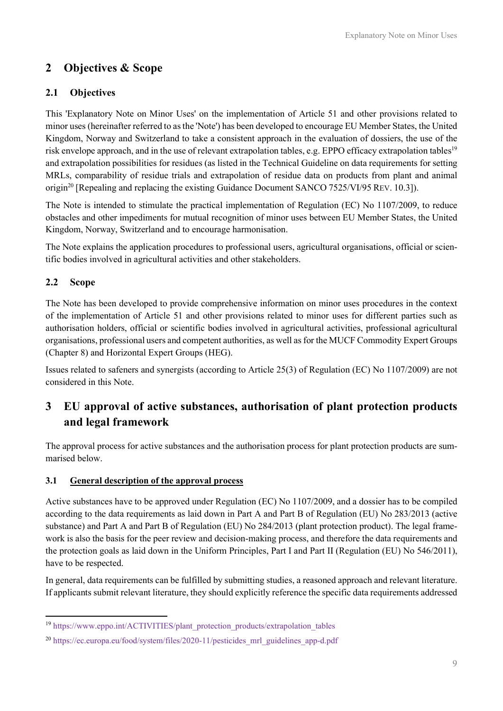# 2 Objectives & Scope

### 2.1 Objectives

This 'Explanatory Note on Minor Uses' on the implementation of Article 51 and other provisions related to minor uses (hereinafter referred to as the 'Note') has been developed to encourage EU Member States, the United Kingdom, Norway and Switzerland to take a consistent approach in the evaluation of dossiers, the use of the risk envelope approach, and in the use of relevant extrapolation tables, e.g. EPPO efficacy extrapolation tables<sup>19</sup> and extrapolation possibilities for residues (as listed in the Technical Guideline on data requirements for setting MRLs, comparability of residue trials and extrapolation of residue data on products from plant and animal origin<sup>20</sup> [Repealing and replacing the existing Guidance Document SANCO 7525/VI/95 REV. 10.3]).

The Note is intended to stimulate the practical implementation of Regulation (EC) No 1107/2009, to reduce obstacles and other impediments for mutual recognition of minor uses between EU Member States, the United Kingdom, Norway, Switzerland and to encourage harmonisation.

The Note explains the application procedures to professional users, agricultural organisations, official or scientific bodies involved in agricultural activities and other stakeholders.

### 2.2 Scope

The Note has been developed to provide comprehensive information on minor uses procedures in the context of the implementation of Article 51 and other provisions related to minor uses for different parties such as authorisation holders, official or scientific bodies involved in agricultural activities, professional agricultural organisations, professional users and competent authorities, as well as for the MUCF Commodity Expert Groups (Chapter 8) and Horizontal Expert Groups (HEG).

Issues related to safeners and synergists (according to Article 25(3) of Regulation (EC) No 1107/2009) are not considered in this Note.

# 3 EU approval of active substances, authorisation of plant protection products and legal framework

The approval process for active substances and the authorisation process for plant protection products are summarised below.

### 3.1 General description of the approval process

Active substances have to be approved under Regulation (EC) No 1107/2009, and a dossier has to be compiled according to the data requirements as laid down in Part A and Part B of Regulation (EU) No 283/2013 (active substance) and Part A and Part B of Regulation (EU) No 284/2013 (plant protection product). The legal framework is also the basis for the peer review and decision-making process, and therefore the data requirements and the protection goals as laid down in the Uniform Principles, Part I and Part II (Regulation (EU) No 546/2011), have to be respected.

In general, data requirements can be fulfilled by submitting studies, a reasoned approach and relevant literature. If applicants submit relevant literature, they should explicitly reference the specific data requirements addressed

<sup>&</sup>lt;sup>19</sup> https://www.eppo.int/ACTIVITIES/plant\_protection\_products/extrapolation\_tables

<sup>&</sup>lt;sup>20</sup> https://ec.europa.eu/food/system/files/2020-11/pesticides\_mrl\_guidelines\_app-d.pdf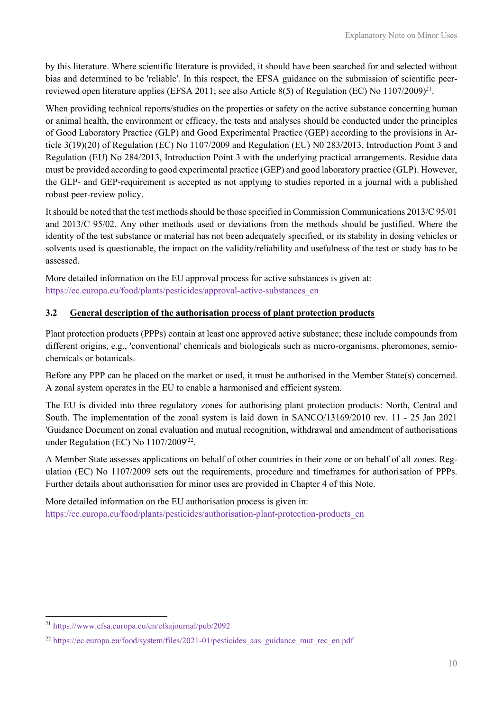by this literature. Where scientific literature is provided, it should have been searched for and selected without bias and determined to be 'reliable'. In this respect, the EFSA guidance on the submission of scientific peerreviewed open literature applies (EFSA 2011; see also Article 8(5) of Regulation (EC) No 1107/2009)<sup>21</sup>.

When providing technical reports/studies on the properties or safety on the active substance concerning human or animal health, the environment or efficacy, the tests and analyses should be conducted under the principles of Good Laboratory Practice (GLP) and Good Experimental Practice (GEP) according to the provisions in Article 3(19)(20) of Regulation (EC) No 1107/2009 and Regulation (EU) N0 283/2013, Introduction Point 3 and Regulation (EU) No 284/2013, Introduction Point 3 with the underlying practical arrangements. Residue data must be provided according to good experimental practice (GEP) and good laboratory practice (GLP). However, the GLP- and GEP-requirement is accepted as not applying to studies reported in a journal with a published robust peer-review policy.

It should be noted that the test methods should be those specified in Commission Communications 2013/C 95/01 and 2013/C 95/02. Any other methods used or deviations from the methods should be justified. Where the identity of the test substance or material has not been adequately specified, or its stability in dosing vehicles or solvents used is questionable, the impact on the validity/reliability and usefulness of the test or study has to be assessed.

More detailed information on the EU approval process for active substances is given at: https://ec.europa.eu/food/plants/pesticides/approval-active-substances\_en

#### 3.2 General description of the authorisation process of plant protection products

Plant protection products (PPPs) contain at least one approved active substance; these include compounds from different origins, e.g., 'conventional' chemicals and biologicals such as micro-organisms, pheromones, semiochemicals or botanicals.

Before any PPP can be placed on the market or used, it must be authorised in the Member State(s) concerned. A zonal system operates in the EU to enable a harmonised and efficient system.

The EU is divided into three regulatory zones for authorising plant protection products: North, Central and South. The implementation of the zonal system is laid down in SANCO/13169/2010 rev. 11 - 25 Jan 2021 'Guidance Document on zonal evaluation and mutual recognition, withdrawal and amendment of authorisations under Regulation (EC) No 1107/2009<sup>'22</sup>.

A Member State assesses applications on behalf of other countries in their zone or on behalf of all zones. Regulation (EC) No 1107/2009 sets out the requirements, procedure and timeframes for authorisation of PPPs. Further details about authorisation for minor uses are provided in Chapter 4 of this Note.

More detailed information on the EU authorisation process is given in: https://ec.europa.eu/food/plants/pesticides/authorisation-plant-protection-products\_en

<sup>21</sup> https://www.efsa.europa.eu/en/efsajournal/pub/2092

<sup>&</sup>lt;sup>22</sup> https://ec.europa.eu/food/system/files/2021-01/pesticides\_aas\_guidance\_mut\_rec\_en.pdf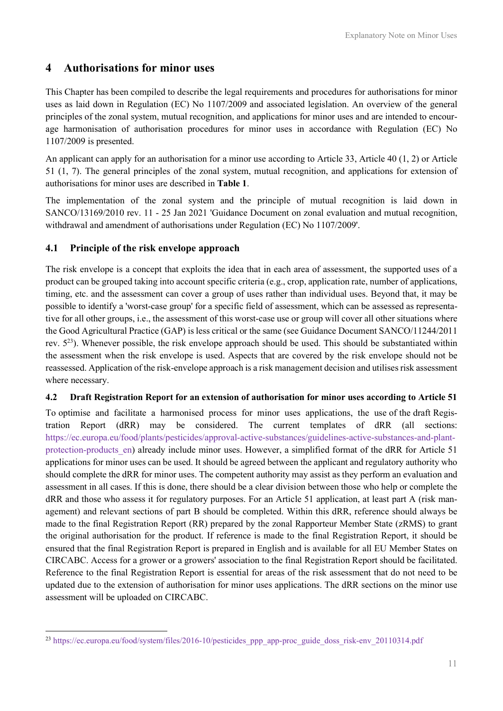### 4 Authorisations for minor uses

This Chapter has been compiled to describe the legal requirements and procedures for authorisations for minor uses as laid down in Regulation (EC) No 1107/2009 and associated legislation. An overview of the general principles of the zonal system, mutual recognition, and applications for minor uses and are intended to encourage harmonisation of authorisation procedures for minor uses in accordance with Regulation (EC) No 1107/2009 is presented.

An applicant can apply for an authorisation for a minor use according to Article 33, Article 40 (1, 2) or Article 51 (1, 7). The general principles of the zonal system, mutual recognition, and applications for extension of authorisations for minor uses are described in Table 1.

The implementation of the zonal system and the principle of mutual recognition is laid down in SANCO/13169/2010 rev. 11 - 25 Jan 2021 'Guidance Document on zonal evaluation and mutual recognition, withdrawal and amendment of authorisations under Regulation (EC) No 1107/2009'.

#### 4.1 Principle of the risk envelope approach

The risk envelope is a concept that exploits the idea that in each area of assessment, the supported uses of a product can be grouped taking into account specific criteria (e.g., crop, application rate, number of applications, timing, etc. and the assessment can cover a group of uses rather than individual uses. Beyond that, it may be possible to identify a 'worst-case group' for a specific field of assessment, which can be assessed as representative for all other groups, i.e., the assessment of this worst-case use or group will cover all other situations where the Good Agricultural Practice (GAP) is less critical or the same (see Guidance Document SANCO/11244/2011 rev.  $5^{23}$ ). Whenever possible, the risk envelope approach should be used. This should be substantiated within the assessment when the risk envelope is used. Aspects that are covered by the risk envelope should not be reassessed. Application of the risk-envelope approach is a risk management decision and utilises risk assessment where necessary.

#### 4.2 Draft Registration Report for an extension of authorisation for minor uses according to Article 51

To optimise and facilitate a harmonised process for minor uses applications, the use of the draft Registration Report (dRR) may be considered. The current templates of dRR (all sections: https://ec.europa.eu/food/plants/pesticides/approval-active-substances/guidelines-active-substances-and-plantprotection-products\_en) already include minor uses. However, a simplified format of the dRR for Article 51 applications for minor uses can be used. It should be agreed between the applicant and regulatory authority who should complete the dRR for minor uses. The competent authority may assist as they perform an evaluation and assessment in all cases. If this is done, there should be a clear division between those who help or complete the dRR and those who assess it for regulatory purposes. For an Article 51 application, at least part A (risk management) and relevant sections of part B should be completed. Within this dRR, reference should always be made to the final Registration Report (RR) prepared by the zonal Rapporteur Member State (zRMS) to grant the original authorisation for the product. If reference is made to the final Registration Report, it should be ensured that the final Registration Report is prepared in English and is available for all EU Member States on CIRCABC. Access for a grower or a growers' association to the final Registration Report should be facilitated. Reference to the final Registration Report is essential for areas of the risk assessment that do not need to be updated due to the extension of authorisation for minor uses applications. The dRR sections on the minor use assessment will be uploaded on CIRCABC.

<sup>&</sup>lt;sup>23</sup> https://ec.europa.eu/food/system/files/2016-10/pesticides\_ppp\_app-proc\_guide\_doss\_risk-env\_20110314.pdf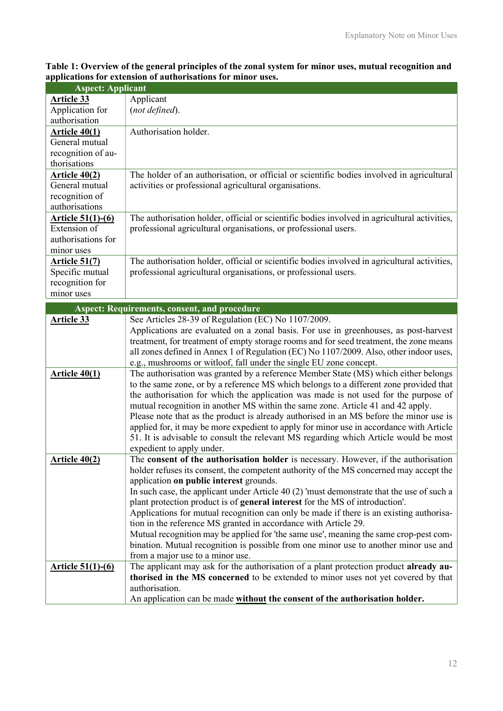Table 1: Overview of the general principles of the zonal system for minor uses, mutual recognition and applications for extension of authorisations for minor uses.

| <b>Aspect: Applicant</b> |                                                                                              |  |
|--------------------------|----------------------------------------------------------------------------------------------|--|
| <b>Article 33</b>        | Applicant                                                                                    |  |
| Application for          | (not defined).                                                                               |  |
| authorisation            |                                                                                              |  |
| <u>Article 40(1)</u>     | Authorisation holder.                                                                        |  |
| General mutual           |                                                                                              |  |
| recognition of au-       |                                                                                              |  |
| thorisations             |                                                                                              |  |
| <u>Article 40(2)</u>     | The holder of an authorisation, or official or scientific bodies involved in agricultural    |  |
| General mutual           | activities or professional agricultural organisations.                                       |  |
| recognition of           |                                                                                              |  |
| authorisations           |                                                                                              |  |
| <u>Article 51(1)-(6)</u> | The authorisation holder, official or scientific bodies involved in agricultural activities, |  |
| Extension of             | professional agricultural organisations, or professional users.                              |  |
| authorisations for       |                                                                                              |  |
| minor uses               |                                                                                              |  |
| <u> Article 51(7)</u>    | The authorisation holder, official or scientific bodies involved in agricultural activities, |  |
| Specific mutual          | professional agricultural organisations, or professional users.                              |  |
| recognition for          |                                                                                              |  |
| minor uses               |                                                                                              |  |
|                          | <b>Aspect: Requirements, consent, and procedure</b>                                          |  |
| Article 33               | See Articles 28-39 of Regulation (EC) No 1107/2009.                                          |  |
|                          | Applications are evaluated on a zonal basis. For use in greenhouses, as post-harvest         |  |
|                          | treatment, for treatment of empty storage rooms and for seed treatment, the zone means       |  |
|                          | all zones defined in Annex 1 of Regulation (EC) No 1107/2009. Also, other indoor uses,       |  |
|                          | e.g., mushrooms or witloof, fall under the single EU zone concept.                           |  |
| Article $40(1)$          | The authorisation was granted by a reference Member State (MS) which either belongs          |  |
|                          | to the same zone, or by a reference MS which belongs to a different zone provided that       |  |
|                          | the authorisation for which the application was made is not used for the purpose of          |  |
|                          | mutual recognition in another MS within the same zone. Article 41 and 42 apply.              |  |
|                          | Please note that as the product is already authorised in an MS before the minor use is       |  |
|                          | applied for, it may be more expedient to apply for minor use in accordance with Article      |  |
|                          | 51. It is advisable to consult the relevant MS regarding which Article would be most         |  |
|                          | expedient to apply under.                                                                    |  |
| Article $40(2)$          | The consent of the authorisation holder is necessary. However, if the authorisation          |  |
|                          | holder refuses its consent, the competent authority of the MS concerned may accept the       |  |
|                          | application on public interest grounds.                                                      |  |
|                          | In such case, the applicant under Article $40(2)$ 'must demonstrate that the use of such a   |  |
|                          | plant protection product is of general interest for the MS of introduction'.                 |  |
|                          | Applications for mutual recognition can only be made if there is an existing authorisa-      |  |
|                          | tion in the reference MS granted in accordance with Article 29.                              |  |
|                          | Mutual recognition may be applied for 'the same use', meaning the same crop-pest com-        |  |
|                          | bination. Mutual recognition is possible from one minor use to another minor use and         |  |
|                          | from a major use to a minor use.                                                             |  |
| Article 51(1)-(6)        | The applicant may ask for the authorisation of a plant protection product already au-        |  |
|                          | thorised in the MS concerned to be extended to minor uses not yet covered by that            |  |
|                          | authorisation.                                                                               |  |
|                          | An application can be made without the consent of the authorisation holder.                  |  |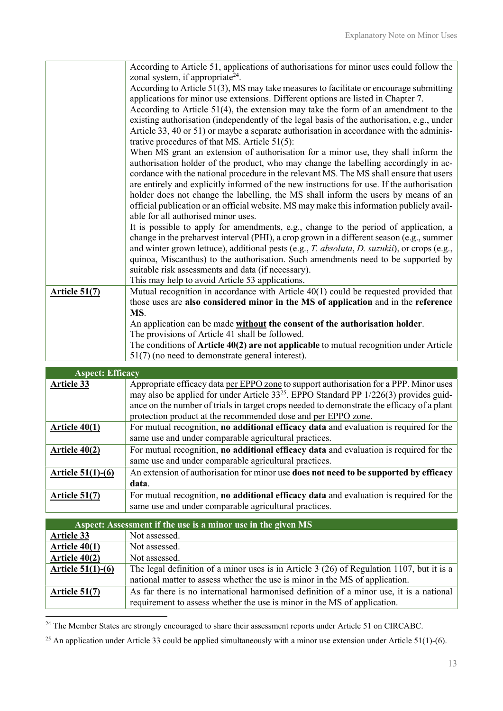|                      | According to Article 51, applications of authorisations for minor uses could follow the                                                                                           |
|----------------------|-----------------------------------------------------------------------------------------------------------------------------------------------------------------------------------|
|                      | zonal system, if appropriate <sup>24</sup> .                                                                                                                                      |
|                      | According to Article $51(3)$ , MS may take measures to facilitate or encourage submitting                                                                                         |
|                      | applications for minor use extensions. Different options are listed in Chapter 7.                                                                                                 |
|                      | According to Article $51(4)$ , the extension may take the form of an amendment to the                                                                                             |
|                      | existing authorisation (independently of the legal basis of the authorisation, e.g., under                                                                                        |
|                      | Article 33, 40 or 51) or maybe a separate authorisation in accordance with the adminis-                                                                                           |
|                      | trative procedures of that MS. Article $51(5)$ :                                                                                                                                  |
|                      | When MS grant an extension of authorisation for a minor use, they shall inform the                                                                                                |
|                      | authorisation holder of the product, who may change the labelling accordingly in ac-                                                                                              |
|                      | cordance with the national procedure in the relevant MS. The MS shall ensure that users                                                                                           |
|                      | are entirely and explicitly informed of the new instructions for use. If the authorisation                                                                                        |
|                      | holder does not change the labelling, the MS shall inform the users by means of an                                                                                                |
|                      | official publication or an official website. MS may make this information publicly avail-                                                                                         |
|                      | able for all authorised minor uses.                                                                                                                                               |
|                      | It is possible to apply for amendments, e.g., change to the period of application, a                                                                                              |
|                      | change in the preharvest interval (PHI), a crop grown in a different season (e.g., summer                                                                                         |
|                      | and winter grown lettuce), additional pests (e.g., T. absoluta, D. suzukii), or crops (e.g.,<br>quinoa, Miscanthus) to the authorisation. Such amendments need to be supported by |
|                      | suitable risk assessments and data (if necessary).                                                                                                                                |
|                      | This may help to avoid Article 53 applications.                                                                                                                                   |
| <b>Article 51(7)</b> | Mutual recognition in accordance with Article 40(1) could be requested provided that                                                                                              |
|                      | those uses are also considered minor in the MS of application and in the reference                                                                                                |
|                      | MS.                                                                                                                                                                               |
|                      | An application can be made without the consent of the authorisation holder.                                                                                                       |
|                      | The provisions of Article 41 shall be followed.                                                                                                                                   |
|                      | The conditions of Article $40(2)$ are not applicable to mutual recognition under Article                                                                                          |
|                      | $51(7)$ (no need to demonstrate general interest).                                                                                                                                |

| <b>Aspect: Efficacy</b> |                                                                                              |
|-------------------------|----------------------------------------------------------------------------------------------|
| Article 33              | Appropriate efficacy data per EPPO zone to support authorisation for a PPP. Minor uses       |
|                         | may also be applied for under Article $33^{25}$ . EPPO Standard PP $1/226(3)$ provides guid- |
|                         | ance on the number of trials in target crops needed to demonstrate the efficacy of a plant   |
|                         | protection product at the recommended dose and per EPPO zone.                                |
| Article $40(1)$         | For mutual recognition, no additional efficacy data and evaluation is required for the       |
|                         | same use and under comparable agricultural practices.                                        |
| Article $40(2)$         | For mutual recognition, no additional efficacy data and evaluation is required for the       |
|                         | same use and under comparable agricultural practices.                                        |
| Article $51(1)-(6)$     | An extension of authorisation for minor use does not need to be supported by efficacy        |
|                         | data.                                                                                        |
| <b>Article 51(7)</b>    | For mutual recognition, no additional efficacy data and evaluation is required for the       |
|                         | same use and under comparable agricultural practices.                                        |

| Aspect: Assessment if the use is a minor use in the given MS |                                                                                           |  |
|--------------------------------------------------------------|-------------------------------------------------------------------------------------------|--|
| Article 33                                                   | Not assessed.                                                                             |  |
| Article $40(1)$                                              | Not assessed.                                                                             |  |
| Article $40(2)$                                              | Not assessed.                                                                             |  |
| Article $51(1)-(6)$                                          | The legal definition of a minor uses is in Article 3 (26) of Regulation 1107, but it is a |  |
|                                                              | national matter to assess whether the use is minor in the MS of application.              |  |
| Article $51(7)$                                              | As far there is no international harmonised definition of a minor use, it is a national   |  |
|                                                              | requirement to assess whether the use is minor in the MS of application.                  |  |

<sup>&</sup>lt;sup>24</sup> The Member States are strongly encouraged to share their assessment reports under Article 51 on CIRCABC.

<sup>&</sup>lt;sup>25</sup> An application under Article 33 could be applied simultaneously with a minor use extension under Article 51(1)-(6).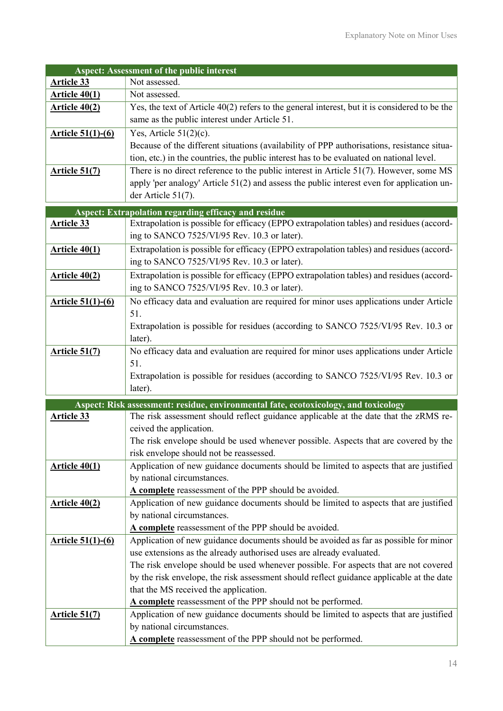| <b>Aspect: Assessment of the public interest</b> |                                                                                                 |  |
|--------------------------------------------------|-------------------------------------------------------------------------------------------------|--|
| <b>Article 33</b>                                | Not assessed.                                                                                   |  |
| <b>Article 40(1)</b>                             | Not assessed.                                                                                   |  |
| <b>Article 40(2)</b>                             | Yes, the text of Article $40(2)$ refers to the general interest, but it is considered to be the |  |
|                                                  | same as the public interest under Article 51.                                                   |  |
| Article 51(1)-(6)                                | Yes, Article $51(2)(c)$ .                                                                       |  |
|                                                  | Because of the different situations (availability of PPP authorisations, resistance situa-      |  |
|                                                  | tion, etc.) in the countries, the public interest has to be evaluated on national level.        |  |
| <b>Article 51(7)</b>                             | There is no direct reference to the public interest in Article $51(7)$ . However, some MS       |  |
|                                                  | apply 'per analogy' Article 51(2) and assess the public interest even for application un-       |  |
|                                                  | der Article 51(7).                                                                              |  |
|                                                  | <b>Aspect: Extrapolation regarding efficacy and residue</b>                                     |  |
| <b>Article 33</b>                                | Extrapolation is possible for efficacy (EPPO extrapolation tables) and residues (accord-        |  |
|                                                  | ing to SANCO 7525/VI/95 Rev. 10.3 or later).                                                    |  |
| <b>Article 40(1)</b>                             | Extrapolation is possible for efficacy (EPPO extrapolation tables) and residues (accord-        |  |
|                                                  | ing to SANCO 7525/VI/95 Rev. 10.3 or later).                                                    |  |
| Article 40(2)                                    | Extrapolation is possible for efficacy (EPPO extrapolation tables) and residues (accord-        |  |
|                                                  | ing to SANCO 7525/VI/95 Rev. 10.3 or later).                                                    |  |
| Article 51(1)-(6)                                | No efficacy data and evaluation are required for minor uses applications under Article          |  |
|                                                  | 51.                                                                                             |  |
|                                                  | Extrapolation is possible for residues (according to SANCO 7525/VI/95 Rev. 10.3 or              |  |
|                                                  | later).                                                                                         |  |
| <b>Article 51(7)</b>                             | No efficacy data and evaluation are required for minor uses applications under Article          |  |
|                                                  | 51.                                                                                             |  |
|                                                  | Extrapolation is possible for residues (according to SANCO 7525/VI/95 Rev. 10.3 or              |  |
|                                                  | later).                                                                                         |  |
|                                                  | Aspect: Risk assessment: residue, environmental fate, ecotoxicology, and toxicology             |  |
| <b>Article 33</b>                                | The risk assessment should reflect guidance applicable at the date that the zRMS re-            |  |
|                                                  | ceived the application.                                                                         |  |
|                                                  | The risk envelope should be used whenever possible. Aspects that are covered by the             |  |
|                                                  | risk envelope should not be reassessed.                                                         |  |
| <b>Article 40(1)</b>                             | Application of new guidance documents should be limited to aspects that are justified           |  |
|                                                  | by national circumstances.                                                                      |  |
|                                                  | A complete reassessment of the PPP should be avoided.                                           |  |
| <b>Article 40(2)</b>                             | Application of new guidance documents should be limited to aspects that are justified           |  |
|                                                  | by national circumstances.                                                                      |  |
|                                                  | A complete reassessment of the PPP should be avoided.                                           |  |
| <u>Article 51(1)-(6)</u>                         | Application of new guidance documents should be avoided as far as possible for minor            |  |
|                                                  | use extensions as the already authorised uses are already evaluated.                            |  |
|                                                  | The risk envelope should be used whenever possible. For aspects that are not covered            |  |
|                                                  | by the risk envelope, the risk assessment should reflect guidance applicable at the date        |  |
|                                                  | that the MS received the application.                                                           |  |
|                                                  | A complete reassessment of the PPP should not be performed.                                     |  |
| <u>Article 51(7)</u>                             | Application of new guidance documents should be limited to aspects that are justified           |  |
|                                                  | by national circumstances.                                                                      |  |
|                                                  | A complete reassessment of the PPP should not be performed.                                     |  |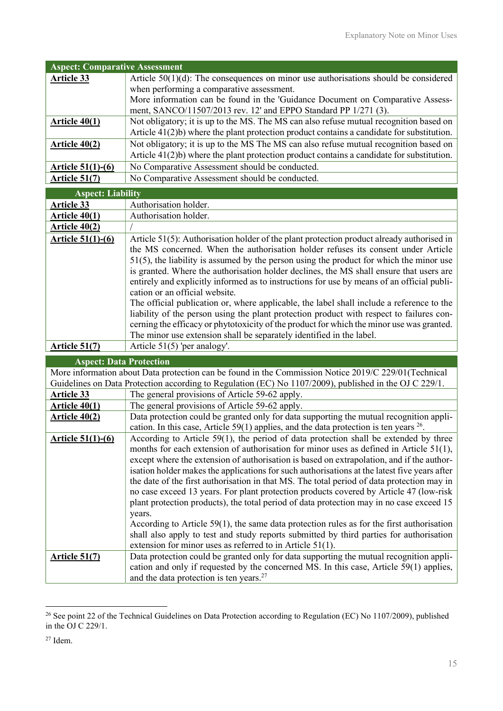| <b>Aspect: Comparative Assessment</b> |                                                                                                                                                         |
|---------------------------------------|---------------------------------------------------------------------------------------------------------------------------------------------------------|
| <b>Article 33</b>                     | Article $50(1)(d)$ : The consequences on minor use authorisations should be considered                                                                  |
|                                       | when performing a comparative assessment.                                                                                                               |
|                                       | More information can be found in the 'Guidance Document on Comparative Assess-                                                                          |
|                                       | ment, SANCO/11507/2013 rev. 12' and EPPO Standard PP 1/271 (3).                                                                                         |
| Article 40(1)                         | Not obligatory; it is up to the MS. The MS can also refuse mutual recognition based on                                                                  |
|                                       | Article $41(2)b$ ) where the plant protection product contains a candidate for substitution.                                                            |
| <b>Article 40(2)</b>                  | Not obligatory; it is up to the MS The MS can also refuse mutual recognition based on                                                                   |
|                                       | Article $41(2)b$ ) where the plant protection product contains a candidate for substitution.                                                            |
| Article 51(1)-(6)                     | No Comparative Assessment should be conducted.                                                                                                          |
| <b>Article 51(7)</b>                  | No Comparative Assessment should be conducted.                                                                                                          |
| <b>Aspect: Liability</b>              |                                                                                                                                                         |
| Article 33                            | Authorisation holder.                                                                                                                                   |
| <b>Article 40(1)</b>                  | Authorisation holder.                                                                                                                                   |
| Article 40(2)                         |                                                                                                                                                         |
| <b>Article 51(1)-(6)</b>              | Article 51(5): Authorisation holder of the plant protection product already authorised in                                                               |
|                                       | the MS concerned. When the authorisation holder refuses its consent under Article                                                                       |
|                                       | $51(5)$ , the liability is assumed by the person using the product for which the minor use                                                              |
|                                       | is granted. Where the authorisation holder declines, the MS shall ensure that users are                                                                 |
|                                       | entirely and explicitly informed as to instructions for use by means of an official publi-                                                              |
|                                       | cation or an official website.                                                                                                                          |
|                                       | The official publication or, where applicable, the label shall include a reference to the                                                               |
|                                       | liability of the person using the plant protection product with respect to failures con-                                                                |
|                                       | cerning the efficacy or phytotoxicity of the product for which the minor use was granted.                                                               |
|                                       | The minor use extension shall be separately identified in the label.                                                                                    |
| <b>Article 51(7)</b>                  | Article $51(5)$ 'per analogy'.                                                                                                                          |
| <b>Aspect: Data Protection</b>        |                                                                                                                                                         |
|                                       | More information about Data protection can be found in the Commission Notice 2019/C 229/01(Technical                                                    |
|                                       | Guidelines on Data Protection according to Regulation (EC) No 1107/2009), published in the OJ C 229/1.                                                  |
| <b>Article 33</b>                     | The general provisions of Article 59-62 apply.                                                                                                          |
| <b>Article 40(1)</b>                  | The general provisions of Article 59-62 apply.                                                                                                          |
| Article 40(2)                         | Data protection could be granted only for data supporting the mutual recognition appli-                                                                 |
|                                       | cation. In this case, Article 59(1) applies, and the data protection is ten years $^{26}$ .                                                             |
| Article 51(1)-(6)                     | According to Article 59(1), the period of data protection shall be extended by three                                                                    |
|                                       | months for each extension of authorisation for minor uses as defined in Article $51(1)$ ,                                                               |
|                                       | except where the extension of authorisation is based on extrapolation, and if the author-                                                               |
|                                       | isation holder makes the applications for such authorisations at the latest five years after                                                            |
|                                       | the date of the first authorisation in that MS. The total period of data protection may in                                                              |
|                                       | no case exceed 13 years. For plant protection products covered by Article 47 (low-risk                                                                  |
|                                       | plant protection products), the total period of data protection may in no case exceed 15                                                                |
|                                       | years.                                                                                                                                                  |
|                                       | According to Article $59(1)$ , the same data protection rules as for the first authorisation                                                            |
|                                       | shall also apply to test and study reports submitted by third parties for authorisation                                                                 |
|                                       | extension for minor uses as referred to in Article $51(1)$ .<br>Data protection could be granted only for data supporting the mutual recognition appli- |
| <u>Article 51(7)</u>                  | cation and only if requested by the concerned MS. In this case, Article 59(1) applies,                                                                  |
|                                       | and the data protection is ten years. <sup>27</sup>                                                                                                     |
|                                       |                                                                                                                                                         |

<sup>&</sup>lt;sup>26</sup> See point 22 of the Technical Guidelines on Data Protection according to Regulation (EC) No 1107/2009), published in the OJ C 229/1.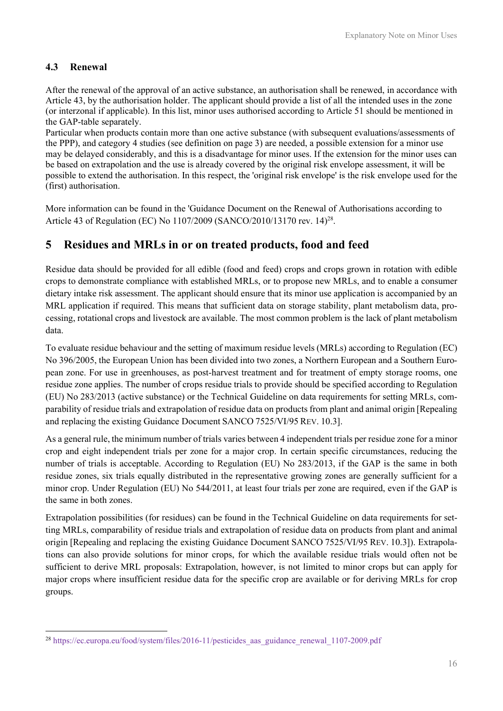### 4.3 Renewal

After the renewal of the approval of an active substance, an authorisation shall be renewed, in accordance with Article 43, by the authorisation holder. The applicant should provide a list of all the intended uses in the zone (or interzonal if applicable). In this list, minor uses authorised according to Article 51 should be mentioned in the GAP-table separately.

Particular when products contain more than one active substance (with subsequent evaluations/assessments of the PPP), and category 4 studies (see definition on page 3) are needed, a possible extension for a minor use may be delayed considerably, and this is a disadvantage for minor uses. If the extension for the minor uses can be based on extrapolation and the use is already covered by the original risk envelope assessment, it will be possible to extend the authorisation. In this respect, the 'original risk envelope' is the risk envelope used for the (first) authorisation.

More information can be found in the 'Guidance Document on the Renewal of Authorisations according to Article 43 of Regulation (EC) No 1107/2009 (SANCO/2010/13170 rev. 14)<sup>28</sup>.

# 5 Residues and MRLs in or on treated products, food and feed

Residue data should be provided for all edible (food and feed) crops and crops grown in rotation with edible crops to demonstrate compliance with established MRLs, or to propose new MRLs, and to enable a consumer dietary intake risk assessment. The applicant should ensure that its minor use application is accompanied by an MRL application if required. This means that sufficient data on storage stability, plant metabolism data, processing, rotational crops and livestock are available. The most common problem is the lack of plant metabolism data.

To evaluate residue behaviour and the setting of maximum residue levels (MRLs) according to Regulation (EC) No 396/2005, the European Union has been divided into two zones, a Northern European and a Southern European zone. For use in greenhouses, as post-harvest treatment and for treatment of empty storage rooms, one residue zone applies. The number of crops residue trials to provide should be specified according to Regulation (EU) No 283/2013 (active substance) or the Technical Guideline on data requirements for setting MRLs, comparability of residue trials and extrapolation of residue data on products from plant and animal origin [Repealing and replacing the existing Guidance Document SANCO 7525/VI/95 REV. 10.3].

As a general rule, the minimum number of trials varies between 4 independent trials per residue zone for a minor crop and eight independent trials per zone for a major crop. In certain specific circumstances, reducing the number of trials is acceptable. According to Regulation (EU) No 283/2013, if the GAP is the same in both residue zones, six trials equally distributed in the representative growing zones are generally sufficient for a minor crop. Under Regulation (EU) No 544/2011, at least four trials per zone are required, even if the GAP is the same in both zones.

Extrapolation possibilities (for residues) can be found in the Technical Guideline on data requirements for setting MRLs, comparability of residue trials and extrapolation of residue data on products from plant and animal origin [Repealing and replacing the existing Guidance Document SANCO 7525/VI/95 REV. 10.3]). Extrapolations can also provide solutions for minor crops, for which the available residue trials would often not be sufficient to derive MRL proposals: Extrapolation, however, is not limited to minor crops but can apply for major crops where insufficient residue data for the specific crop are available or for deriving MRLs for crop groups.

<sup>&</sup>lt;sup>28</sup> https://ec.europa.eu/food/system/files/2016-11/pesticides aas guidance renewal 1107-2009.pdf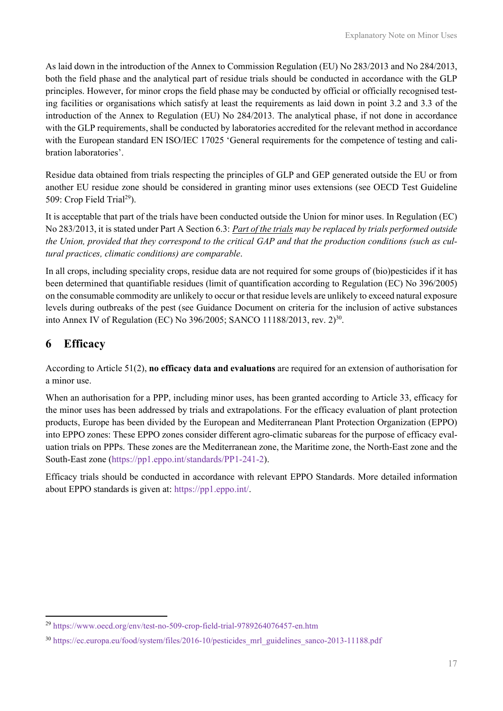As laid down in the introduction of the Annex to Commission Regulation (EU) No 283/2013 and No 284/2013, both the field phase and the analytical part of residue trials should be conducted in accordance with the GLP principles. However, for minor crops the field phase may be conducted by official or officially recognised testing facilities or organisations which satisfy at least the requirements as laid down in point 3.2 and 3.3 of the introduction of the Annex to Regulation (EU) No 284/2013. The analytical phase, if not done in accordance with the GLP requirements, shall be conducted by laboratories accredited for the relevant method in accordance with the European standard EN ISO/IEC 17025 'General requirements for the competence of testing and calibration laboratories'.

Residue data obtained from trials respecting the principles of GLP and GEP generated outside the EU or from another EU residue zone should be considered in granting minor uses extensions (see OECD Test Guideline 509: Crop Field Trial<sup>29</sup>).

It is acceptable that part of the trials have been conducted outside the Union for minor uses. In Regulation (EC) No 283/2013, it is stated under Part A Section 6.3: Part of the trials may be replaced by trials performed outside the Union, provided that they correspond to the critical GAP and that the production conditions (such as cultural practices, climatic conditions) are comparable.

In all crops, including speciality crops, residue data are not required for some groups of (bio)pesticides if it has been determined that quantifiable residues (limit of quantification according to Regulation (EC) No 396/2005) on the consumable commodity are unlikely to occur or that residue levels are unlikely to exceed natural exposure levels during outbreaks of the pest (see Guidance Document on criteria for the inclusion of active substances into Annex IV of Regulation (EC) No 396/2005; SANCO 11188/2013, rev.  $2^{30}$ .

# 6 Efficacy

According to Article 51(2), no efficacy data and evaluations are required for an extension of authorisation for a minor use.

When an authorisation for a PPP, including minor uses, has been granted according to Article 33, efficacy for the minor uses has been addressed by trials and extrapolations. For the efficacy evaluation of plant protection products, Europe has been divided by the European and Mediterranean Plant Protection Organization (EPPO) into EPPO zones: These EPPO zones consider different agro-climatic subareas for the purpose of efficacy evaluation trials on PPPs. These zones are the Mediterranean zone, the Maritime zone, the North-East zone and the South-East zone (https://pp1.eppo.int/standards/PP1-241-2).

Efficacy trials should be conducted in accordance with relevant EPPO Standards. More detailed information about EPPO standards is given at: https://pp1.eppo.int/.

<sup>29</sup> https://www.oecd.org/env/test-no-509-crop-field-trial-9789264076457-en.htm

<sup>30</sup> https://ec.europa.eu/food/system/files/2016-10/pesticides\_mrl\_guidelines\_sanco-2013-11188.pdf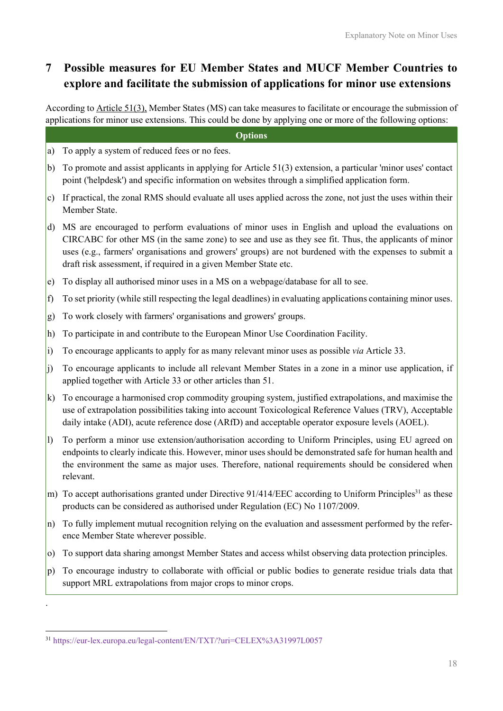# 7 Possible measures for EU Member States and MUCF Member Countries to explore and facilitate the submission of applications for minor use extensions

According to Article 51(3), Member States (MS) can take measures to facilitate or encourage the submission of applications for minor use extensions. This could be done by applying one or more of the following options:

#### **Options**

- a) To apply a system of reduced fees or no fees.
- b) To promote and assist applicants in applying for Article 51(3) extension, a particular 'minor uses' contact point ('helpdesk') and specific information on websites through a simplified application form.
- c) If practical, the zonal RMS should evaluate all uses applied across the zone, not just the uses within their Member State.
- d) MS are encouraged to perform evaluations of minor uses in English and upload the evaluations on CIRCABC for other MS (in the same zone) to see and use as they see fit. Thus, the applicants of minor uses (e.g., farmers' organisations and growers' groups) are not burdened with the expenses to submit a draft risk assessment, if required in a given Member State etc.
- e) To display all authorised minor uses in a MS on a webpage/database for all to see.
- f) To set priority (while still respecting the legal deadlines) in evaluating applications containing minor uses.
- g) To work closely with farmers' organisations and growers' groups.
- h) To participate in and contribute to the European Minor Use Coordination Facility.
- i) To encourage applicants to apply for as many relevant minor uses as possible via Article 33.
- j) To encourage applicants to include all relevant Member States in a zone in a minor use application, if applied together with Article 33 or other articles than 51.
- k) To encourage a harmonised crop commodity grouping system, justified extrapolations, and maximise the use of extrapolation possibilities taking into account Toxicological Reference Values (TRV), Acceptable daily intake (ADI), acute reference dose (ARfD) and acceptable operator exposure levels (AOEL).
- l) To perform a minor use extension/authorisation according to Uniform Principles, using EU agreed on endpoints to clearly indicate this. However, minor uses should be demonstrated safe for human health and the environment the same as major uses. Therefore, national requirements should be considered when relevant.
- m) To accept authorisations granted under Directive 91/414/EEC according to Uniform Principles<sup>31</sup> as these products can be considered as authorised under Regulation (EC) No 1107/2009.
- n) To fully implement mutual recognition relying on the evaluation and assessment performed by the reference Member State wherever possible.
- o) To support data sharing amongst Member States and access whilst observing data protection principles.
- p) To encourage industry to collaborate with official or public bodies to generate residue trials data that support MRL extrapolations from major crops to minor crops.

.

<sup>31</sup> https://eur-lex.europa.eu/legal-content/EN/TXT/?uri=CELEX%3A31997L0057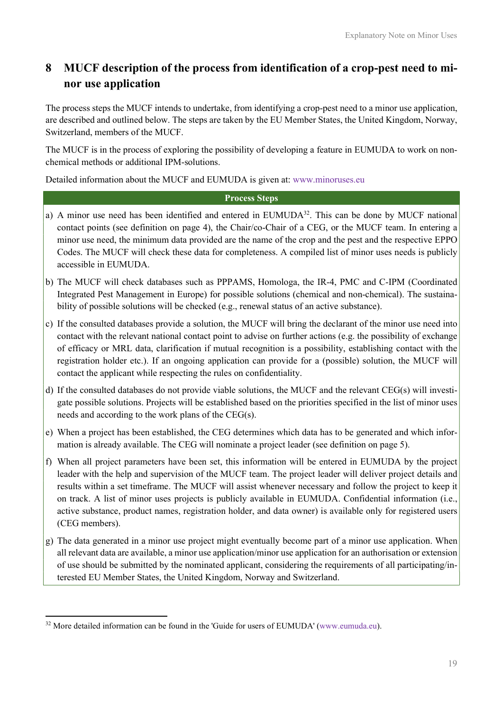# 8 MUCF description of the process from identification of a crop-pest need to minor use application

The process steps the MUCF intends to undertake, from identifying a crop-pest need to a minor use application, are described and outlined below. The steps are taken by the EU Member States, the United Kingdom, Norway, Switzerland, members of the MUCF.

The MUCF is in the process of exploring the possibility of developing a feature in EUMUDA to work on nonchemical methods or additional IPM-solutions.

Detailed information about the MUCF and EUMUDA is given at: www.minoruses.eu

#### **Process Steps**

- a) A minor use need has been identified and entered in EUMUDA<sup>32</sup>. This can be done by MUCF national contact points (see definition on page 4), the Chair/co-Chair of a CEG, or the MUCF team. In entering a minor use need, the minimum data provided are the name of the crop and the pest and the respective EPPO Codes. The MUCF will check these data for completeness. A compiled list of minor uses needs is publicly accessible in EUMUDA.
- b) The MUCF will check databases such as PPPAMS, Homologa, the IR-4, PMC and C-IPM (Coordinated Integrated Pest Management in Europe) for possible solutions (chemical and non-chemical). The sustainability of possible solutions will be checked (e.g., renewal status of an active substance).
- c) If the consulted databases provide a solution, the MUCF will bring the declarant of the minor use need into contact with the relevant national contact point to advise on further actions (e.g. the possibility of exchange of efficacy or MRL data, clarification if mutual recognition is a possibility, establishing contact with the registration holder etc.). If an ongoing application can provide for a (possible) solution, the MUCF will contact the applicant while respecting the rules on confidentiality.
- d) If the consulted databases do not provide viable solutions, the MUCF and the relevant CEG(s) will investigate possible solutions. Projects will be established based on the priorities specified in the list of minor uses needs and according to the work plans of the CEG(s).
- e) When a project has been established, the CEG determines which data has to be generated and which information is already available. The CEG will nominate a project leader (see definition on page 5).
- f) When all project parameters have been set, this information will be entered in EUMUDA by the project leader with the help and supervision of the MUCF team. The project leader will deliver project details and results within a set timeframe. The MUCF will assist whenever necessary and follow the project to keep it on track. A list of minor uses projects is publicly available in EUMUDA. Confidential information (i.e., active substance, product names, registration holder, and data owner) is available only for registered users (CEG members).
- g) The data generated in a minor use project might eventually become part of a minor use application. When all relevant data are available, a minor use application/minor use application for an authorisation or extension of use should be submitted by the nominated applicant, considering the requirements of all participating/interested EU Member States, the United Kingdom, Norway and Switzerland.

 $32$  More detailed information can be found in the 'Guide for users of EUMUDA' (www.eumuda.eu).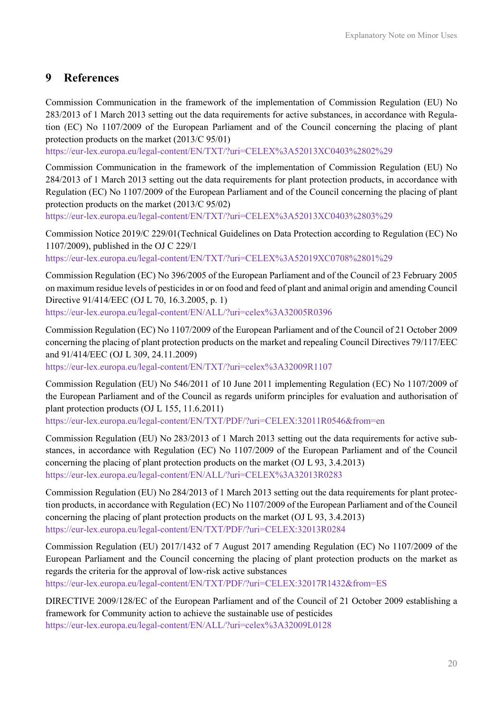### 9 References

Commission Communication in the framework of the implementation of Commission Regulation (EU) No 283/2013 of 1 March 2013 setting out the data requirements for active substances, in accordance with Regulation (EC) No 1107/2009 of the European Parliament and of the Council concerning the placing of plant protection products on the market (2013/C 95/01)

https://eur-lex.europa.eu/legal-content/EN/TXT/?uri=CELEX%3A52013XC0403%2802%29

Commission Communication in the framework of the implementation of Commission Regulation (EU) No 284/2013 of 1 March 2013 setting out the data requirements for plant protection products, in accordance with Regulation (EC) No 1107/2009 of the European Parliament and of the Council concerning the placing of plant protection products on the market (2013/C 95/02)

https://eur-lex.europa.eu/legal-content/EN/TXT/?uri=CELEX%3A52013XC0403%2803%29

Commission Notice 2019/C 229/01(Technical Guidelines on Data Protection according to Regulation (EC) No 1107/2009), published in the OJ C 229/1

https://eur-lex.europa.eu/legal-content/EN/TXT/?uri=CELEX%3A52019XC0708%2801%29

Commission Regulation (EC) No 396/2005 of the European Parliament and of the Council of 23 February 2005 on maximum residue levels of pesticides in or on food and feed of plant and animal origin and amending Council Directive 91/414/EEC (OJ L 70, 16.3.2005, p. 1)

https://eur-lex.europa.eu/legal-content/EN/ALL/?uri=celex%3A32005R0396

Commission Regulation (EC) No 1107/2009 of the European Parliament and of the Council of 21 October 2009 concerning the placing of plant protection products on the market and repealing Council Directives 79/117/EEC and 91/414/EEC (OJ L 309, 24.11.2009)

https://eur-lex.europa.eu/legal-content/EN/TXT/?uri=celex%3A32009R1107

Commission Regulation (EU) No 546/2011 of 10 June 2011 implementing Regulation (EC) No 1107/2009 of the European Parliament and of the Council as regards uniform principles for evaluation and authorisation of plant protection products (OJ L 155, 11.6.2011)

https://eur-lex.europa.eu/legal-content/EN/TXT/PDF/?uri=CELEX:32011R0546&from=en

Commission Regulation (EU) No 283/2013 of 1 March 2013 setting out the data requirements for active substances, in accordance with Regulation (EC) No 1107/2009 of the European Parliament and of the Council concerning the placing of plant protection products on the market (OJ L 93, 3.4.2013) https://eur-lex.europa.eu/legal-content/EN/ALL/?uri=CELEX%3A32013R0283

Commission Regulation (EU) No 284/2013 of 1 March 2013 setting out the data requirements for plant protection products, in accordance with Regulation (EC) No 1107/2009 of the European Parliament and of the Council concerning the placing of plant protection products on the market (OJ L 93, 3.4.2013) https://eur-lex.europa.eu/legal-content/EN/TXT/PDF/?uri=CELEX:32013R0284

Commission Regulation (EU) 2017/1432 of 7 August 2017 amending Regulation (EC) No 1107/2009 of the European Parliament and the Council concerning the placing of plant protection products on the market as regards the criteria for the approval of low-risk active substances

https://eur-lex.europa.eu/legal-content/EN/TXT/PDF/?uri=CELEX:32017R1432&from=ES

DIRECTIVE 2009/128/EC of the European Parliament and of the Council of 21 October 2009 establishing a framework for Community action to achieve the sustainable use of pesticides https://eur-lex.europa.eu/legal-content/EN/ALL/?uri=celex%3A32009L0128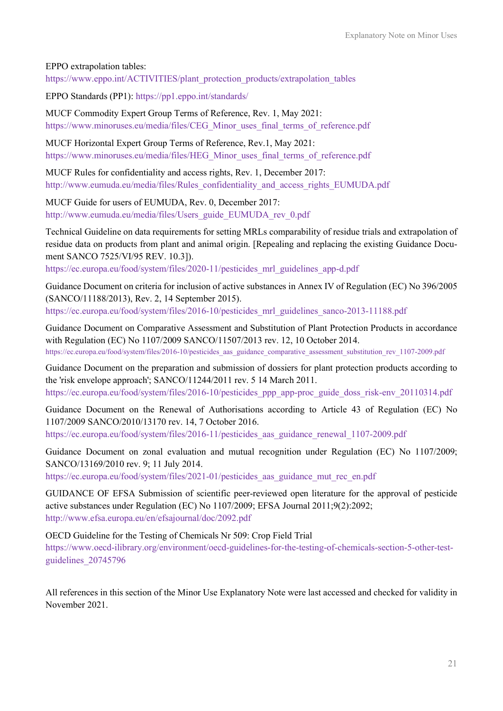#### EPPO extrapolation tables:

https://www.eppo.int/ACTIVITIES/plant\_protection\_products/extrapolation\_tables

EPPO Standards (PP1): https://pp1.eppo.int/standards/

MUCF Commodity Expert Group Terms of Reference, Rev. 1, May 2021: https://www.minoruses.eu/media/files/CEG\_Minor\_uses\_final\_terms\_of\_reference.pdf

MUCF Horizontal Expert Group Terms of Reference, Rev.1, May 2021: https://www.minoruses.eu/media/files/HEG\_Minor\_uses\_final\_terms\_of\_reference.pdf

MUCF Rules for confidentiality and access rights, Rev. 1, December 2017: http://www.eumuda.eu/media/files/Rules\_confidentiality\_and\_access\_rights\_EUMUDA.pdf

MUCF Guide for users of EUMUDA, Rev. 0, December 2017: http://www.eumuda.eu/media/files/Users\_guide\_EUMUDA\_rev\_0.pdf

Technical Guideline on data requirements for setting MRLs comparability of residue trials and extrapolation of residue data on products from plant and animal origin. [Repealing and replacing the existing Guidance Document SANCO 7525/VI/95 REV. 10.3]).

https://ec.europa.eu/food/system/files/2020-11/pesticides\_mrl\_guidelines\_app-d.pdf

Guidance Document on criteria for inclusion of active substances in Annex IV of Regulation (EC) No 396/2005 (SANCO/11188/2013), Rev. 2, 14 September 2015). https://ec.europa.eu/food/system/files/2016-10/pesticides\_mrl\_guidelines\_sanco-2013-11188.pdf

Guidance Document on Comparative Assessment and Substitution of Plant Protection Products in accordance with Regulation (EC) No 1107/2009 SANCO/11507/2013 rev. 12, 10 October 2014. https://ec.europa.eu/food/system/files/2016-10/pesticides\_aas\_guidance\_comparative\_assessment\_substitution\_rev\_1107-2009.pdf

Guidance Document on the preparation and submission of dossiers for plant protection products according to the 'risk envelope approach'; SANCO/11244/2011 rev. 5 14 March 2011. https://ec.europa.eu/food/system/files/2016-10/pesticides\_ppp\_app-proc\_guide\_doss\_risk-env\_20110314.pdf

Guidance Document on the Renewal of Authorisations according to Article 43 of Regulation (EC) No 1107/2009 SANCO/2010/13170 rev. 14, 7 October 2016.

https://ec.europa.eu/food/system/files/2016-11/pesticides\_aas\_guidance\_renewal\_1107-2009.pdf

Guidance Document on zonal evaluation and mutual recognition under Regulation (EC) No 1107/2009; SANCO/13169/2010 rev. 9; 11 July 2014.

https://ec.europa.eu/food/system/files/2021-01/pesticides aas guidance mut rec en.pdf

GUIDANCE OF EFSA Submission of scientific peer-reviewed open literature for the approval of pesticide active substances under Regulation (EC) No 1107/2009; EFSA Journal 2011;9(2):2092; http://www.efsa.europa.eu/en/efsajournal/doc/2092.pdf

OECD Guideline for the Testing of Chemicals Nr 509: Crop Field Trial

https://www.oecd-ilibrary.org/environment/oecd-guidelines-for-the-testing-of-chemicals-section-5-other-testguidelines\_20745796

All references in this section of the Minor Use Explanatory Note were last accessed and checked for validity in November 2021.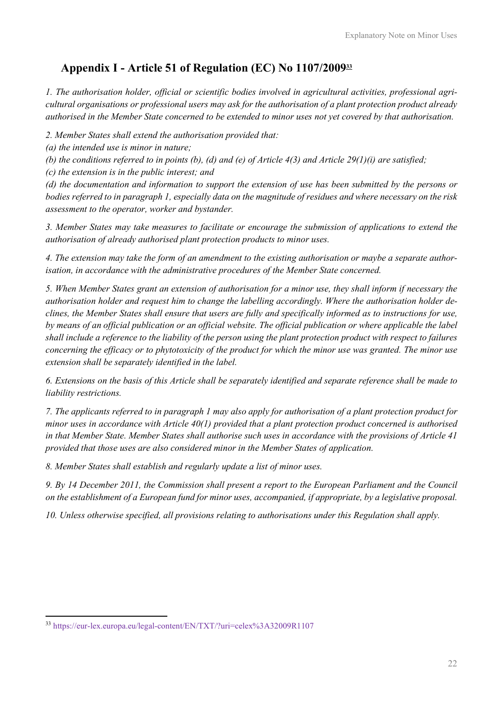# Appendix I - Article 51 of Regulation (EC) No 1107/2009<sup>33</sup>

1. The authorisation holder, official or scientific bodies involved in agricultural activities, professional agricultural organisations or professional users may ask for the authorisation of a plant protection product already authorised in the Member State concerned to be extended to minor uses not yet covered by that authorisation.

2. Member States shall extend the authorisation provided that:

(a) the intended use is minor in nature;

(b) the conditions referred to in points (b), (d) and (e) of Article  $4(3)$  and Article  $29(1)(i)$  are satisfied;

(c) the extension is in the public interest; and

(d) the documentation and information to support the extension of use has been submitted by the persons or bodies referred to in paragraph 1, especially data on the magnitude of residues and where necessary on the risk assessment to the operator, worker and bystander.

3. Member States may take measures to facilitate or encourage the submission of applications to extend the authorisation of already authorised plant protection products to minor uses.

4. The extension may take the form of an amendment to the existing authorisation or maybe a separate authorisation, in accordance with the administrative procedures of the Member State concerned.

5. When Member States grant an extension of authorisation for a minor use, they shall inform if necessary the authorisation holder and request him to change the labelling accordingly. Where the authorisation holder declines, the Member States shall ensure that users are fully and specifically informed as to instructions for use, by means of an official publication or an official website. The official publication or where applicable the label shall include a reference to the liability of the person using the plant protection product with respect to failures concerning the efficacy or to phytotoxicity of the product for which the minor use was granted. The minor use extension shall be separately identified in the label.

6. Extensions on the basis of this Article shall be separately identified and separate reference shall be made to liability restrictions.

7. The applicants referred to in paragraph 1 may also apply for authorisation of a plant protection product for minor uses in accordance with Article 40(1) provided that a plant protection product concerned is authorised in that Member State. Member States shall authorise such uses in accordance with the provisions of Article 41 provided that those uses are also considered minor in the Member States of application.

8. Member States shall establish and regularly update a list of minor uses.

9. By 14 December 2011, the Commission shall present a report to the European Parliament and the Council on the establishment of a European fund for minor uses, accompanied, if appropriate, by a legislative proposal.

10. Unless otherwise specified, all provisions relating to authorisations under this Regulation shall apply.

<sup>33</sup> https://eur-lex.europa.eu/legal-content/EN/TXT/?uri=celex%3A32009R1107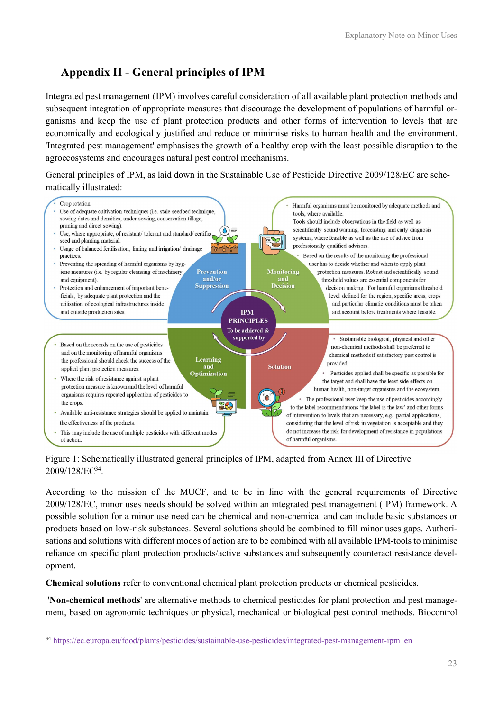# Appendix II - General principles of IPM

Integrated pest management (IPM) involves careful consideration of all available plant protection methods and subsequent integration of appropriate measures that discourage the development of populations of harmful organisms and keep the use of plant protection products and other forms of intervention to levels that are economically and ecologically justified and reduce or minimise risks to human health and the environment. 'Integrated pest management' emphasises the growth of a healthy crop with the least possible disruption to the agroecosystems and encourages natural pest control mechanisms.

General principles of IPM, as laid down in the Sustainable Use of Pesticide Directive 2009/128/EC are schematically illustrated:



#### Figure 1: Schematically illustrated general principles of IPM, adapted from Annex III of Directive 2009/128/EC<sup>34</sup> .

According to the mission of the MUCF, and to be in line with the general requirements of Directive 2009/128/EC, minor uses needs should be solved within an integrated pest management (IPM) framework. A possible solution for a minor use need can be chemical and non-chemical and can include basic substances or products based on low-risk substances. Several solutions should be combined to fill minor uses gaps. Authorisations and solutions with different modes of action are to be combined with all available IPM-tools to minimise reliance on specific plant protection products/active substances and subsequently counteract resistance development.

Chemical solutions refer to conventional chemical plant protection products or chemical pesticides.

 'Non-chemical methods' are alternative methods to chemical pesticides for plant protection and pest management, based on agronomic techniques or physical, mechanical or biological pest control methods. Biocontrol

<sup>34</sup> https://ec.europa.eu/food/plants/pesticides/sustainable-use-pesticides/integrated-pest-management-ipm\_en